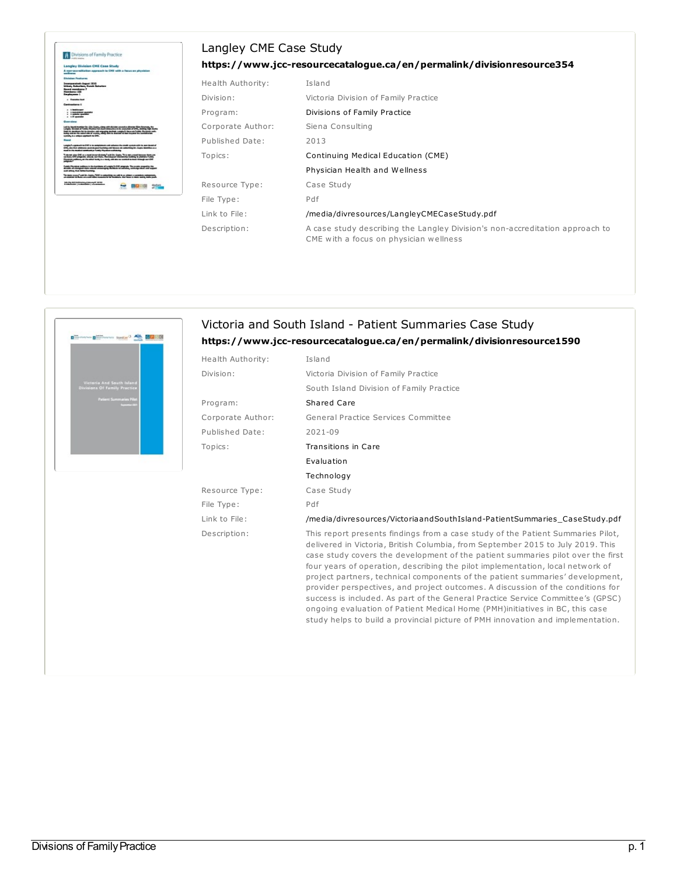## Langley CME Case Study



 $\mathbf{B}^{\text{max}}$  denotes  $\mathbf{B}^{\text{max}}$ 

## **<https://www.jcc-resourcecatalogue.ca/en/permalink/divisionresource354>**

| Health Authority: | Island                                                                                                                 |  |  |
|-------------------|------------------------------------------------------------------------------------------------------------------------|--|--|
| Division:         | Victoria Division of Family Practice                                                                                   |  |  |
| Program:          | Divisions of Family Practice                                                                                           |  |  |
| Corporate Author: | Siena Consulting                                                                                                       |  |  |
| Published Date:   | 2013                                                                                                                   |  |  |
| Topics:           | Continuing Medical Education (CME)                                                                                     |  |  |
|                   | Physician Health and Wellness                                                                                          |  |  |
| Resource Type:    | Case Study                                                                                                             |  |  |
| File Type:        | Pdf                                                                                                                    |  |  |
| Link to File:     | /media/divresources/LangleyCMECaseStudy.pdf                                                                            |  |  |
| Description:      | A case study describing the Langley Division's non-accreditation approach to<br>CME with a focus on physician wellness |  |  |

| Division:         | Victoria Division of Family Practice                                                                                                                                                                                                                                                                                                                                                                                                                                                                                                                                                                                                                                                                                                                              |
|-------------------|-------------------------------------------------------------------------------------------------------------------------------------------------------------------------------------------------------------------------------------------------------------------------------------------------------------------------------------------------------------------------------------------------------------------------------------------------------------------------------------------------------------------------------------------------------------------------------------------------------------------------------------------------------------------------------------------------------------------------------------------------------------------|
|                   |                                                                                                                                                                                                                                                                                                                                                                                                                                                                                                                                                                                                                                                                                                                                                                   |
|                   | South Island Division of Family Practice                                                                                                                                                                                                                                                                                                                                                                                                                                                                                                                                                                                                                                                                                                                          |
| Program:          | Shared Care                                                                                                                                                                                                                                                                                                                                                                                                                                                                                                                                                                                                                                                                                                                                                       |
| Corporate Author: | General Practice Services Committee                                                                                                                                                                                                                                                                                                                                                                                                                                                                                                                                                                                                                                                                                                                               |
| Published Date:   | 2021-09                                                                                                                                                                                                                                                                                                                                                                                                                                                                                                                                                                                                                                                                                                                                                           |
| Topics:           | Transitions in Care                                                                                                                                                                                                                                                                                                                                                                                                                                                                                                                                                                                                                                                                                                                                               |
|                   | Evaluation                                                                                                                                                                                                                                                                                                                                                                                                                                                                                                                                                                                                                                                                                                                                                        |
|                   | Technology                                                                                                                                                                                                                                                                                                                                                                                                                                                                                                                                                                                                                                                                                                                                                        |
| Resource Type:    | Case Study                                                                                                                                                                                                                                                                                                                                                                                                                                                                                                                                                                                                                                                                                                                                                        |
| File Type:        | Pdf                                                                                                                                                                                                                                                                                                                                                                                                                                                                                                                                                                                                                                                                                                                                                               |
| Link to File:     | /media/divresources/VictoriaandSouthIsland-PatientSummaries_CaseStudy.pdf                                                                                                                                                                                                                                                                                                                                                                                                                                                                                                                                                                                                                                                                                         |
| Description:      | This report presents findings from a case study of the Patient Summaries Pilot,<br>delivered in Victoria, British Columbia, from September 2015 to July 2019. This<br>case study covers the development of the patient summaries pilot over the first<br>four years of operation, describing the pilot implementation, local network of<br>project partners, technical components of the patient summaries' development,<br>provider perspectives, and project outcomes. A discussion of the conditions for<br>success is included. As part of the General Practice Service Committee's (GPSC)<br>ongoing evaluation of Patient Medical Home (PMH)initiatives in BC, this case<br>study helps to build a provincial picture of PMH innovation and implementation. |

## Divisions of Family Practice p. 1